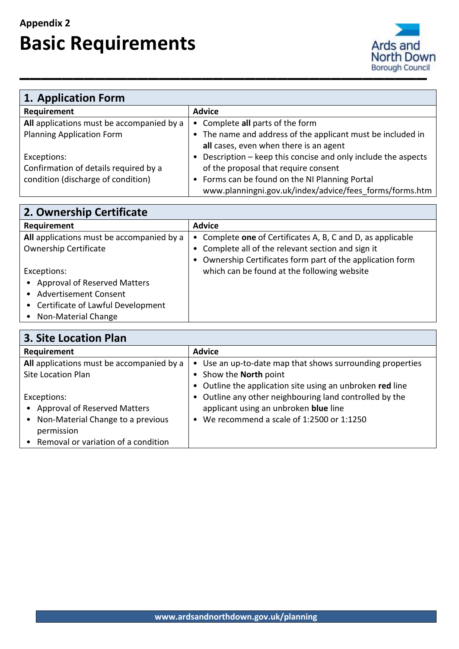## **Appendix 2 Basic Requirements**



| 1. Application Form                       |                                                              |  |
|-------------------------------------------|--------------------------------------------------------------|--|
| Requirement                               | <b>Advice</b>                                                |  |
| All applications must be accompanied by a | • Complete all parts of the form                             |  |
| <b>Planning Application Form</b>          | • The name and address of the applicant must be included in  |  |
|                                           | all cases, even when there is an agent                       |  |
| Exceptions:                               | Description – keep this concise and only include the aspects |  |
| Confirmation of details required by a     | of the proposal that require consent                         |  |
| condition (discharge of condition)        | Forms can be found on the NI Planning Portal<br>$\bullet$    |  |
|                                           | www.planningni.gov.uk/index/advice/fees forms/forms.htm      |  |

| 2. Ownership Certificate                  |                                                             |  |
|-------------------------------------------|-------------------------------------------------------------|--|
| Requirement                               | <b>Advice</b>                                               |  |
| All applications must be accompanied by a | • Complete one of Certificates A, B, C and D, as applicable |  |
| <b>Ownership Certificate</b>              | • Complete all of the relevant section and sign it          |  |
|                                           | • Ownership Certificates form part of the application form  |  |
| Exceptions:                               | which can be found at the following website                 |  |
| • Approval of Reserved Matters            |                                                             |  |
| • Advertisement Consent                   |                                                             |  |
| • Certificate of Lawful Development       |                                                             |  |
| • Non-Material Change                     |                                                             |  |

| <b>3. Site Location Plan</b>                                                                                                                |                                                                                                                                                                      |  |
|---------------------------------------------------------------------------------------------------------------------------------------------|----------------------------------------------------------------------------------------------------------------------------------------------------------------------|--|
| Requirement                                                                                                                                 | <b>Advice</b>                                                                                                                                                        |  |
| All applications must be accompanied by a<br><b>Site Location Plan</b>                                                                      | • Use an up-to-date map that shows surrounding properties<br>• Show the North point<br>• Outline the application site using an unbroken red line                     |  |
| Exceptions:<br>• Approval of Reserved Matters<br>• Non-Material Change to a previous<br>permission<br>• Removal or variation of a condition | Outline any other neighbouring land controlled by the<br>$\bullet$<br>applicant using an unbroken blue line<br>We recommend a scale of 1:2500 or 1:1250<br>$\bullet$ |  |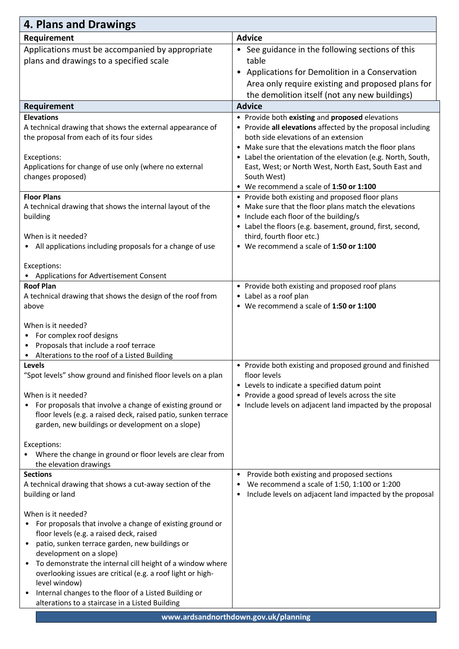| 4. Plans and Drawings                                                                                                    |                                                                                                           |  |
|--------------------------------------------------------------------------------------------------------------------------|-----------------------------------------------------------------------------------------------------------|--|
| Requirement                                                                                                              | <b>Advice</b>                                                                                             |  |
| Applications must be accompanied by appropriate                                                                          | • See guidance in the following sections of this                                                          |  |
| plans and drawings to a specified scale                                                                                  | table                                                                                                     |  |
|                                                                                                                          | • Applications for Demolition in a Conservation                                                           |  |
|                                                                                                                          | Area only require existing and proposed plans for                                                         |  |
|                                                                                                                          | the demolition itself (not any new buildings)                                                             |  |
| Requirement                                                                                                              | <b>Advice</b>                                                                                             |  |
| <b>Elevations</b>                                                                                                        | • Provide both existing and proposed elevations                                                           |  |
| A technical drawing that shows the external appearance of<br>the proposal from each of its four sides                    | • Provide all elevations affected by the proposal including<br>both side elevations of an extension       |  |
|                                                                                                                          | • Make sure that the elevations match the floor plans                                                     |  |
| Exceptions:                                                                                                              | • Label the orientation of the elevation (e.g. North, South,                                              |  |
| Applications for change of use only (where no external                                                                   | East, West; or North West, North East, South East and                                                     |  |
| changes proposed)                                                                                                        | South West)                                                                                               |  |
|                                                                                                                          | • We recommend a scale of 1:50 or 1:100                                                                   |  |
| <b>Floor Plans</b><br>A technical drawing that shows the internal layout of the                                          | • Provide both existing and proposed floor plans<br>• Make sure that the floor plans match the elevations |  |
| building                                                                                                                 | • Include each floor of the building/s                                                                    |  |
|                                                                                                                          | • Label the floors (e.g. basement, ground, first, second,                                                 |  |
| When is it needed?                                                                                                       | third, fourth floor etc.)                                                                                 |  |
| All applications including proposals for a change of use                                                                 | • We recommend a scale of 1:50 or 1:100                                                                   |  |
|                                                                                                                          |                                                                                                           |  |
| Exceptions:<br>• Applications for Advertisement Consent                                                                  |                                                                                                           |  |
| <b>Roof Plan</b>                                                                                                         | • Provide both existing and proposed roof plans                                                           |  |
| A technical drawing that shows the design of the roof from                                                               | • Label as a roof plan                                                                                    |  |
| above                                                                                                                    | • We recommend a scale of 1:50 or 1:100                                                                   |  |
| When is it needed?                                                                                                       |                                                                                                           |  |
| • For complex roof designs                                                                                               |                                                                                                           |  |
| Proposals that include a roof terrace                                                                                    |                                                                                                           |  |
| • Alterations to the roof of a Listed Building                                                                           |                                                                                                           |  |
| Levels                                                                                                                   | • Provide both existing and proposed ground and finished                                                  |  |
| "Spot levels" show ground and finished floor levels on a plan                                                            | floor levels<br>• Levels to indicate a specified datum point                                              |  |
| When is it needed?                                                                                                       | • Provide a good spread of levels across the site                                                         |  |
| For proposals that involve a change of existing ground or                                                                | • Include levels on adjacent land impacted by the proposal                                                |  |
| floor levels (e.g. a raised deck, raised patio, sunken terrace                                                           |                                                                                                           |  |
| garden, new buildings or development on a slope)                                                                         |                                                                                                           |  |
| Exceptions:                                                                                                              |                                                                                                           |  |
| • Where the change in ground or floor levels are clear from                                                              |                                                                                                           |  |
| the elevation drawings                                                                                                   |                                                                                                           |  |
| <b>Sections</b>                                                                                                          | Provide both existing and proposed sections<br>$\bullet$                                                  |  |
| A technical drawing that shows a cut-away section of the                                                                 | We recommend a scale of 1:50, 1:100 or 1:200                                                              |  |
| building or land                                                                                                         | Include levels on adjacent land impacted by the proposal<br>$\bullet$                                     |  |
| When is it needed?                                                                                                       |                                                                                                           |  |
| For proposals that involve a change of existing ground or                                                                |                                                                                                           |  |
| floor levels (e.g. a raised deck, raised                                                                                 |                                                                                                           |  |
| patio, sunken terrace garden, new buildings or                                                                           |                                                                                                           |  |
| development on a slope)                                                                                                  |                                                                                                           |  |
| To demonstrate the internal cill height of a window where<br>overlooking issues are critical (e.g. a roof light or high- |                                                                                                           |  |
| level window)                                                                                                            |                                                                                                           |  |
| Internal changes to the floor of a Listed Building or                                                                    |                                                                                                           |  |
| alterations to a staircase in a Listed Building                                                                          |                                                                                                           |  |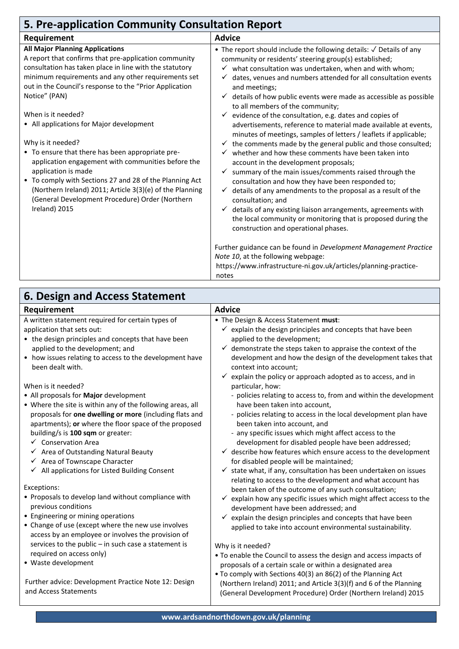| 5. Pre-application Community Consultation Report                                                                                                                                                                                                                                                                                              |                                                                                                                                                                                                                                                                                                                                                                                                                                                                                                                                                                                                |  |
|-----------------------------------------------------------------------------------------------------------------------------------------------------------------------------------------------------------------------------------------------------------------------------------------------------------------------------------------------|------------------------------------------------------------------------------------------------------------------------------------------------------------------------------------------------------------------------------------------------------------------------------------------------------------------------------------------------------------------------------------------------------------------------------------------------------------------------------------------------------------------------------------------------------------------------------------------------|--|
| Requirement                                                                                                                                                                                                                                                                                                                                   | <b>Advice</b>                                                                                                                                                                                                                                                                                                                                                                                                                                                                                                                                                                                  |  |
| <b>All Major Planning Applications</b><br>A report that confirms that pre-application community<br>consultation has taken place in line with the statutory<br>minimum requirements and any other requirements set<br>out in the Council's response to the "Prior Application<br>Notice" (PAN)                                                 | • The report should include the following details: $\sqrt{\ }$ Details of any<br>community or residents' steering group(s) established;<br>$\checkmark$ what consultation was undertaken, when and with whom;<br>$\checkmark$ dates, venues and numbers attended for all consultation events<br>and meetings;<br>$\checkmark$ details of how public events were made as accessible as possible<br>to all members of the community;                                                                                                                                                             |  |
| When is it needed?<br>• All applications for Major development                                                                                                                                                                                                                                                                                | $\checkmark$ evidence of the consultation, e.g. dates and copies of<br>advertisements, reference to material made available at events,<br>minutes of meetings, samples of letters / leaflets if applicable;                                                                                                                                                                                                                                                                                                                                                                                    |  |
| Why is it needed?<br>• To ensure that there has been appropriate pre-<br>application engagement with communities before the<br>application is made<br>• To comply with Sections 27 and 28 of the Planning Act<br>(Northern Ireland) 2011; Article 3(3)(e) of the Planning<br>(General Development Procedure) Order (Northern<br>Ireland) 2015 | $\checkmark$ the comments made by the general public and those consulted;<br>$\checkmark$ whether and how these comments have been taken into<br>account in the development proposals;<br>$\checkmark$ summary of the main issues/comments raised through the<br>consultation and how they have been responded to;<br>details of any amendments to the proposal as a result of the<br>consultation; and<br>$\checkmark$ details of any existing liaison arrangements, agreements with<br>the local community or monitoring that is proposed during the<br>construction and operational phases. |  |
|                                                                                                                                                                                                                                                                                                                                               | Further guidance can be found in Development Management Practice<br>Note 10, at the following webpage:<br>https://www.infrastructure-ni.gov.uk/articles/planning-practice-<br>notes                                                                                                                                                                                                                                                                                                                                                                                                            |  |

| <b>6. Design and Access Statement</b>                                                                                                                                                                                                                                                                                                                                                                                                                                 |                                                                                                                                                                                                                                                                                                                                                                                                                                                                                                                                                                                                                      |  |
|-----------------------------------------------------------------------------------------------------------------------------------------------------------------------------------------------------------------------------------------------------------------------------------------------------------------------------------------------------------------------------------------------------------------------------------------------------------------------|----------------------------------------------------------------------------------------------------------------------------------------------------------------------------------------------------------------------------------------------------------------------------------------------------------------------------------------------------------------------------------------------------------------------------------------------------------------------------------------------------------------------------------------------------------------------------------------------------------------------|--|
| Requirement                                                                                                                                                                                                                                                                                                                                                                                                                                                           | <b>Advice</b>                                                                                                                                                                                                                                                                                                                                                                                                                                                                                                                                                                                                        |  |
| A written statement required for certain types of<br>application that sets out:<br>• the design principles and concepts that have been<br>applied to the development; and<br>• how issues relating to access to the development have<br>been dealt with.                                                                                                                                                                                                              | . The Design & Access Statement must:<br>$\checkmark$ explain the design principles and concepts that have been<br>applied to the development;<br>demonstrate the steps taken to appraise the context of the<br>✓<br>development and how the design of the development takes that<br>context into account;<br>$\checkmark$ explain the policy or approach adopted as to access, and in                                                                                                                                                                                                                               |  |
| When is it needed?<br>• All proposals for Major development<br>• Where the site is within any of the following areas, all<br>proposals for one dwelling or more (including flats and<br>apartments); or where the floor space of the proposed<br>building/s is 100 sqm or greater:<br>$\checkmark$ Conservation Area<br>$\checkmark$ Area of Outstanding Natural Beauty<br>← Area of Townscape Character<br>$\checkmark$ All applications for Listed Building Consent | particular, how:<br>- policies relating to access to, from and within the development<br>have been taken into account,<br>- policies relating to access in the local development plan have<br>been taken into account, and<br>- any specific issues which might affect access to the<br>development for disabled people have been addressed;<br>$\checkmark$ describe how features which ensure access to the development<br>for disabled people will be maintained;<br>state what, if any, consultation has been undertaken on issues<br>$\checkmark$<br>relating to access to the development and what account has |  |
| Exceptions:<br>• Proposals to develop land without compliance with<br>previous conditions<br>• Engineering or mining operations<br>• Change of use (except where the new use involves<br>access by an employee or involves the provision of                                                                                                                                                                                                                           | been taken of the outcome of any such consultation;<br>explain how any specific issues which might affect access to the<br>development have been addressed; and<br>explain the design principles and concepts that have been<br>applied to take into account environmental sustainability.                                                                                                                                                                                                                                                                                                                           |  |
| services to the public $-$ in such case a statement is<br>required on access only)<br>• Waste development<br>Further advice: Development Practice Note 12: Design<br>and Access Statements                                                                                                                                                                                                                                                                            | Why is it needed?<br>. To enable the Council to assess the design and access impacts of<br>proposals of a certain scale or within a designated area<br>. To comply with Sections 40(3) an 86(2) of the Planning Act<br>(Northern Ireland) 2011; and Article 3(3)(f) and 6 of the Planning<br>(General Development Procedure) Order (Northern Ireland) 2015                                                                                                                                                                                                                                                           |  |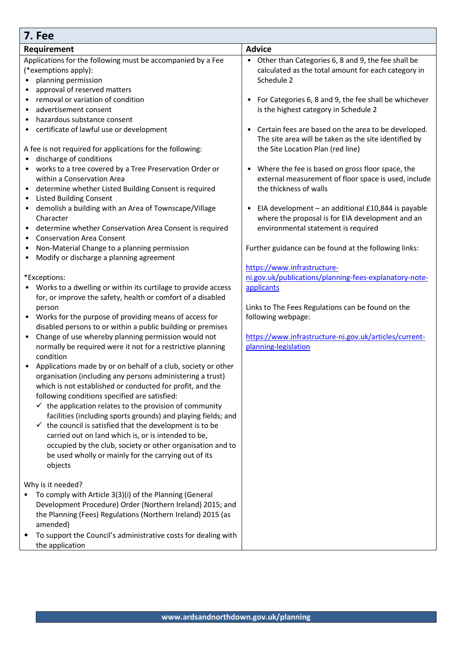| 7. Fee                                                                                                                                                                                                                                                                                                                                                                                                                                                                                                                                                                                                                                                                                                                                                                                                                                                                                                                                                                                                                                                                                                                                                                                                                                                                                                                                                                                                                                                                                                                                                                                                                                                                                                                                                                                                                                                                                                                                           |                                                                                                                                                                                                                                                                                                                                                                                                                                                                                                                                                                                                                                                                                                                                                                                                                                                                                                                                                                                                                                                             |  |
|--------------------------------------------------------------------------------------------------------------------------------------------------------------------------------------------------------------------------------------------------------------------------------------------------------------------------------------------------------------------------------------------------------------------------------------------------------------------------------------------------------------------------------------------------------------------------------------------------------------------------------------------------------------------------------------------------------------------------------------------------------------------------------------------------------------------------------------------------------------------------------------------------------------------------------------------------------------------------------------------------------------------------------------------------------------------------------------------------------------------------------------------------------------------------------------------------------------------------------------------------------------------------------------------------------------------------------------------------------------------------------------------------------------------------------------------------------------------------------------------------------------------------------------------------------------------------------------------------------------------------------------------------------------------------------------------------------------------------------------------------------------------------------------------------------------------------------------------------------------------------------------------------------------------------------------------------|-------------------------------------------------------------------------------------------------------------------------------------------------------------------------------------------------------------------------------------------------------------------------------------------------------------------------------------------------------------------------------------------------------------------------------------------------------------------------------------------------------------------------------------------------------------------------------------------------------------------------------------------------------------------------------------------------------------------------------------------------------------------------------------------------------------------------------------------------------------------------------------------------------------------------------------------------------------------------------------------------------------------------------------------------------------|--|
| Requirement                                                                                                                                                                                                                                                                                                                                                                                                                                                                                                                                                                                                                                                                                                                                                                                                                                                                                                                                                                                                                                                                                                                                                                                                                                                                                                                                                                                                                                                                                                                                                                                                                                                                                                                                                                                                                                                                                                                                      | <b>Advice</b>                                                                                                                                                                                                                                                                                                                                                                                                                                                                                                                                                                                                                                                                                                                                                                                                                                                                                                                                                                                                                                               |  |
| Applications for the following must be accompanied by a Fee<br>(*exemptions apply):<br>planning permission<br>approval of reserved matters<br>removal or variation of condition<br>advertisement consent<br>hazardous substance consent<br>certificate of lawful use or development<br>٠<br>A fee is not required for applications for the following:<br>discharge of conditions<br>works to a tree covered by a Tree Preservation Order or<br>$\bullet$<br>within a Conservation Area<br>determine whether Listed Building Consent is required<br>$\bullet$<br><b>Listed Building Consent</b><br>$\bullet$<br>demolish a building with an Area of Townscape/Village<br>$\bullet$<br>Character<br>determine whether Conservation Area Consent is required<br><b>Conservation Area Consent</b><br>Non-Material Change to a planning permission<br>٠<br>Modify or discharge a planning agreement<br>٠<br>*Exceptions:<br>Works to a dwelling or within its curtilage to provide access<br>for, or improve the safety, health or comfort of a disabled<br>person<br>Works for the purpose of providing means of access for<br>$\bullet$<br>disabled persons to or within a public building or premises<br>Change of use whereby planning permission would not<br>$\bullet$<br>normally be required were it not for a restrictive planning<br>condition<br>Applications made by or on behalf of a club, society or other<br>$\bullet$<br>organisation (including any persons administering a trust)<br>which is not established or conducted for profit, and the<br>following conditions specified are satisfied:<br>$\checkmark$ the application relates to the provision of community<br>facilities (including sports grounds) and playing fields; and<br>$\checkmark$ the council is satisfied that the development is to be<br>carried out on land which is, or is intended to be,<br>occupied by the club, society or other organisation and to | Other than Categories 6, 8 and 9, the fee shall be<br>$\bullet$<br>calculated as the total amount for each category in<br>Schedule 2<br>For Categories 6, 8 and 9, the fee shall be whichever<br>$\bullet$<br>is the highest category in Schedule 2<br>Certain fees are based on the area to be developed.<br>٠<br>The site area will be taken as the site identified by<br>the Site Location Plan (red line)<br>Where the fee is based on gross floor space, the<br>$\bullet$<br>external measurement of floor space is used, include<br>the thickness of walls<br>EIA development - an additional £10,844 is payable<br>$\bullet$<br>where the proposal is for EIA development and an<br>environmental statement is required<br>Further guidance can be found at the following links:<br>https://www.infrastructure-<br>ni.gov.uk/publications/planning-fees-explanatory-note-<br>applicants<br>Links to The Fees Regulations can be found on the<br>following webpage:<br>https://www.infrastructure-ni.gov.uk/articles/current-<br>planning-legislation |  |
| be used wholly or mainly for the carrying out of its<br>objects<br>Why is it needed?<br>To comply with Article 3(3)(i) of the Planning (General<br>$\bullet$<br>Development Procedure) Order (Northern Ireland) 2015; and<br>the Planning (Fees) Regulations (Northern Ireland) 2015 (as<br>amended)<br>To support the Council's administrative costs for dealing with                                                                                                                                                                                                                                                                                                                                                                                                                                                                                                                                                                                                                                                                                                                                                                                                                                                                                                                                                                                                                                                                                                                                                                                                                                                                                                                                                                                                                                                                                                                                                                           |                                                                                                                                                                                                                                                                                                                                                                                                                                                                                                                                                                                                                                                                                                                                                                                                                                                                                                                                                                                                                                                             |  |
| the application                                                                                                                                                                                                                                                                                                                                                                                                                                                                                                                                                                                                                                                                                                                                                                                                                                                                                                                                                                                                                                                                                                                                                                                                                                                                                                                                                                                                                                                                                                                                                                                                                                                                                                                                                                                                                                                                                                                                  |                                                                                                                                                                                                                                                                                                                                                                                                                                                                                                                                                                                                                                                                                                                                                                                                                                                                                                                                                                                                                                                             |  |